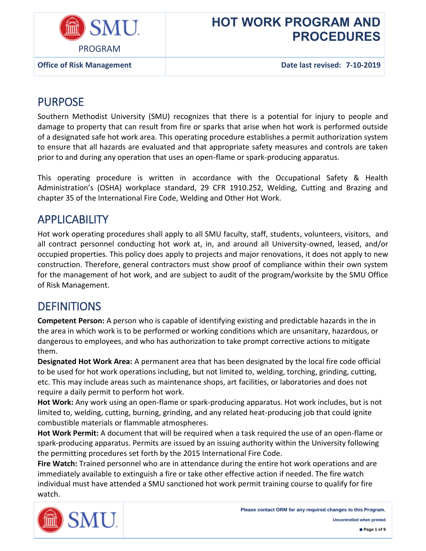

**Office of Risk Management Date last revised: 7-10-2019**

### PURPOSE

Southern Methodist University (SMU) recognizes that there is a potential for injury to people and damage to property that can result from fire or sparks that arise when hot work is performed outside of a designated safe hot work area. This operating procedure establishes a permit authorization system to ensure that all hazards are evaluated and that appropriate safety measures and controls are taken prior to and during any operation that uses an open-flame or spark-producing apparatus.

This operating procedure is written in accordance with the Occupational Safety & Health Administration's (OSHA) workplace standard, 29 CFR 1910.252, Welding, Cutting and Brazing and chapter 35 of the International Fire Code, Welding and Other Hot Work.

### **APPLICABILITY**

Hot work operating procedures shall apply to all SMU faculty, staff, students, volunteers, visitors, and all contract personnel conducting hot work at, in, and around all University-owned, leased, and/or occupied properties. This policy does apply to projects and major renovations, it does not apply to new construction. Therefore, general contractors must show proof of compliance within their own system for the management of hot work, and are subject to audit of the program/worksite by the SMU Office of Risk Management.

### **DEFINITIONS**

**Competent Person:** A person who is capable of identifying existing and predictable hazards in the in the area in which work is to be performed or working conditions which are unsanitary, hazardous, or dangerous to employees, and who has authorization to take prompt corrective actions to mitigate them.

**Designated Hot Work Area:** A permanent area that has been designated by the local fire code official to be used for hot work operations including, but not limited to, welding, torching, grinding, cutting, etc. This may include areas such as maintenance shops, art facilities, or laboratories and does not require a daily permit to perform hot work.

**Hot Work:** Any work using an open-flame or spark-producing apparatus. Hot work includes, but is not limited to, welding, cutting, burning, grinding, and any related heat-producing job that could ignite combustible materials or flammable atmospheres.

**Hot Work Permit:** A document that will be required when a task required the use of an open-flame or spark-producing apparatus. Permits are issued by an issuing authority within the University following the permitting procedures set forth by the 2015 International Fire Code.

**Fire Watch:** Trained personnel who are in attendance during the entire hot work operations and are immediately available to extinguish a fire or take other effective action if needed. The fire watch individual must have attended a SMU sanctioned hot work permit training course to qualify for fire watch.

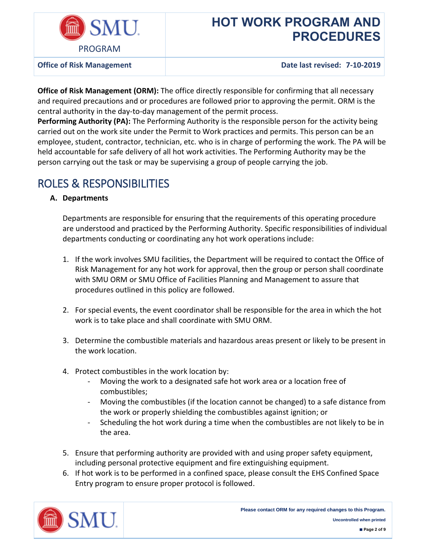

**Office of Risk Management Date last revised: 7-10-2019**

**Office of Risk Management (ORM):** The office directly responsible for confirming that all necessary and required precautions and or procedures are followed prior to approving the permit. ORM is the central authority in the day-to-day management of the permit process.

**Performing Authority (PA):** The Performing Authority is the responsible person for the activity being carried out on the work site under the Permit to Work practices and permits. This person can be an employee, student, contractor, technician, etc. who is in charge of performing the work. The PA will be held accountable for safe delivery of all hot work activities. The Performing Authority may be the person carrying out the task or may be supervising a group of people carrying the job.

## ROLES & RESPONSIBILITIES

### **A. Departments**

Departments are responsible for ensuring that the requirements of this operating procedure are understood and practiced by the Performing Authority. Specific responsibilities of individual departments conducting or coordinating any hot work operations include:

- 1. If the work involves SMU facilities, the Department will be required to contact the Office of Risk Management for any hot work for approval, then the group or person shall coordinate with SMU ORM or SMU Office of Facilities Planning and Management to assure that procedures outlined in this policy are followed.
- 2. For special events, the event coordinator shall be responsible for the area in which the hot work is to take place and shall coordinate with SMU ORM.
- 3. Determine the combustible materials and hazardous areas present or likely to be present in the work location.
- 4. Protect combustibles in the work location by:
	- Moving the work to a designated safe hot work area or a location free of combustibles;
	- Moving the combustibles (if the location cannot be changed) to a safe distance from the work or properly shielding the combustibles against ignition; or
	- Scheduling the hot work during a time when the combustibles are not likely to be in the area.
- 5. Ensure that performing authority are provided with and using proper safety equipment, including personal protective equipment and fire extinguishing equipment.
- 6. If hot work is to be performed in a confined space, please consult the EHS Confined Space Entry program to ensure proper protocol is followed.

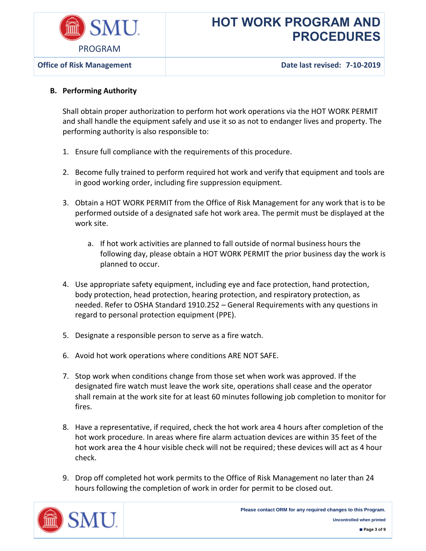

**Office of Risk Management Date last revised: 7-10-2019**

### **B. Performing Authority**

Shall obtain proper authorization to perform hot work operations via the HOT WORK PERMIT and shall handle the equipment safely and use it so as not to endanger lives and property. The performing authority is also responsible to:

- 1. Ensure full compliance with the requirements of this procedure.
- 2. Become fully trained to perform required hot work and verify that equipment and tools are in good working order, including fire suppression equipment.
- 3. Obtain a HOT WORK PERMIT from the Office of Risk Management for any work that is to be performed outside of a designated safe hot work area. The permit must be displayed at the work site.
	- a. If hot work activities are planned to fall outside of normal business hours the following day, please obtain a HOT WORK PERMIT the prior business day the work is planned to occur.
- 4. Use appropriate safety equipment, including eye and face protection, hand protection, body protection, head protection, hearing protection, and respiratory protection, as needed. Refer to OSHA Standard 1910.252 – General Requirements with any questions in regard to personal protection equipment (PPE).
- 5. Designate a responsible person to serve as a fire watch.
- 6. Avoid hot work operations where conditions ARE NOT SAFE.
- 7. Stop work when conditions change from those set when work was approved. If the designated fire watch must leave the work site, operations shall cease and the operator shall remain at the work site for at least 60 minutes following job completion to monitor for fires.
- 8. Have a representative, if required, check the hot work area 4 hours after completion of the hot work procedure. In areas where fire alarm actuation devices are within 35 feet of the hot work area the 4 hour visible check will not be required; these devices will act as 4 hour check.
- 9. Drop off completed hot work permits to the Office of Risk Management no later than 24 hours following the completion of work in order for permit to be closed out.

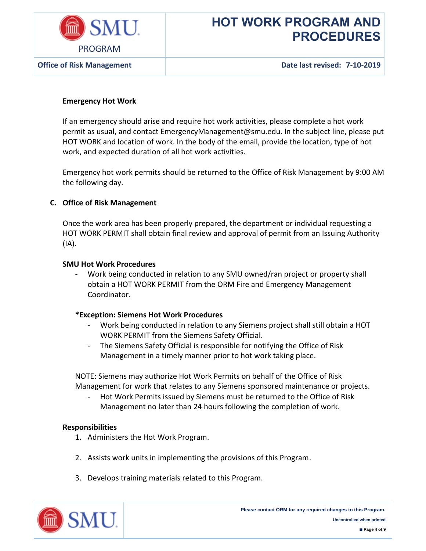

**Office of Risk Management Date last revised: 7-10-2019**

### **Emergency Hot Work**

If an emergency should arise and require hot work activities, please complete a hot work permit as usual, and contact EmergencyManagement@smu.edu. In the subject line, please put HOT WORK and location of work. In the body of the email, provide the location, type of hot work, and expected duration of all hot work activities.

Emergency hot work permits should be returned to the Office of Risk Management by 9:00 AM the following day.

#### **C. Office of Risk Management**

Once the work area has been properly prepared, the department or individual requesting a HOT WORK PERMIT shall obtain final review and approval of permit from an Issuing Authority (IA).

#### **SMU Hot Work Procedures**

Work being conducted in relation to any SMU owned/ran project or property shall obtain a HOT WORK PERMIT from the ORM Fire and Emergency Management Coordinator.

#### **\*Exception: Siemens Hot Work Procedures**

- Work being conducted in relation to any Siemens project shall still obtain a HOT WORK PERMIT from the Siemens Safety Official.
- The Siemens Safety Official is responsible for notifying the Office of Risk Management in a timely manner prior to hot work taking place.

NOTE: Siemens may authorize Hot Work Permits on behalf of the Office of Risk Management for work that relates to any Siemens sponsored maintenance or projects.

Hot Work Permits issued by Siemens must be returned to the Office of Risk Management no later than 24 hours following the completion of work.

#### **Responsibilities**

- 1. Administers the Hot Work Program.
- 2. Assists work units in implementing the provisions of this Program.
- 3. Develops training materials related to this Program.

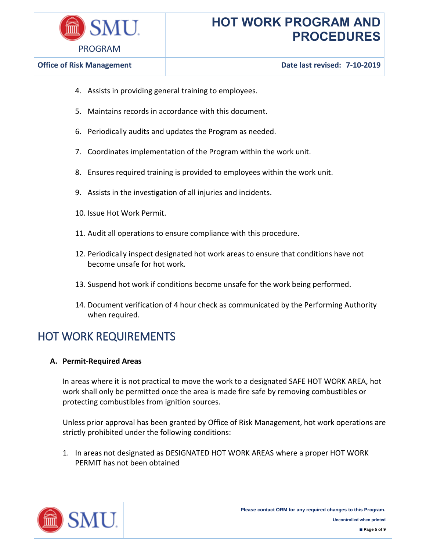

- 4. Assists in providing general training to employees.
- 5. Maintains records in accordance with this document.
- 6. Periodically audits and updates the Program as needed.
- 7. Coordinates implementation of the Program within the work unit.
- 8. Ensures required training is provided to employees within the work unit.
- 9. Assists in the investigation of all injuries and incidents.
- 10. Issue Hot Work Permit.
- 11. Audit all operations to ensure compliance with this procedure.
- 12. Periodically inspect designated hot work areas to ensure that conditions have not become unsafe for hot work.
- 13. Suspend hot work if conditions become unsafe for the work being performed.
- 14. Document verification of 4 hour check as communicated by the Performing Authority when required.

### HOT WORK REQUIREMENTS

#### **A. Permit-Required Areas**

In areas where it is not practical to move the work to a designated SAFE HOT WORK AREA, hot work shall only be permitted once the area is made fire safe by removing combustibles or protecting combustibles from ignition sources.

Unless prior approval has been granted by Office of Risk Management, hot work operations are strictly prohibited under the following conditions:

1. In areas not designated as DESIGNATED HOT WORK AREAS where a proper HOT WORK PERMIT has not been obtained

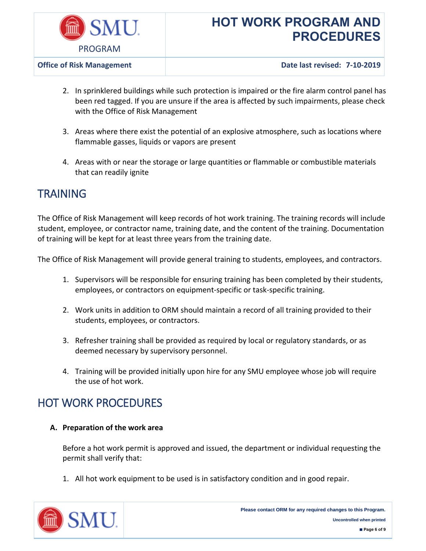

**Office of Risk Management Date last revised: 7-10-2019**

- 2. In sprinklered buildings while such protection is impaired or the fire alarm control panel has been red tagged. If you are unsure if the area is affected by such impairments, please check with the Office of Risk Management
- 3. Areas where there exist the potential of an explosive atmosphere, such as locations where flammable gasses, liquids or vapors are present
- 4. Areas with or near the storage or large quantities or flammable or combustible materials that can readily ignite

### **TRAINING**

The Office of Risk Management will keep records of hot work training. The training records will include student, employee, or contractor name, training date, and the content of the training. Documentation of training will be kept for at least three years from the training date.

The Office of Risk Management will provide general training to students, employees, and contractors.

- 1. Supervisors will be responsible for ensuring training has been completed by their students, employees, or contractors on equipment-specific or task-specific training.
- 2. Work units in addition to ORM should maintain a record of all training provided to their students, employees, or contractors.
- 3. Refresher training shall be provided as required by local or regulatory standards, or as deemed necessary by supervisory personnel.
- 4. Training will be provided initially upon hire for any SMU employee whose job will require the use of hot work.

### HOT WORK PROCEDURES

### **A. Preparation of the work area**

Before a hot work permit is approved and issued, the department or individual requesting the permit shall verify that:

1. All hot work equipment to be used is in satisfactory condition and in good repair.

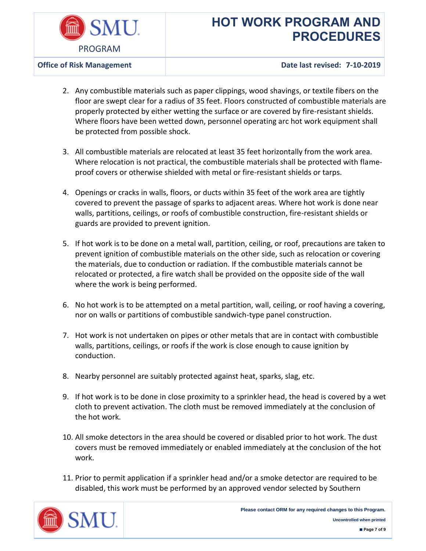

**Office of Risk Management Date last revised: 7-10-2019**

- 2. Any combustible materials such as paper clippings, wood shavings, or textile fibers on the floor are swept clear for a radius of 35 feet. Floors constructed of combustible materials are properly protected by either wetting the surface or are covered by fire-resistant shields. Where floors have been wetted down, personnel operating arc hot work equipment shall be protected from possible shock.
- 3. All combustible materials are relocated at least 35 feet horizontally from the work area. Where relocation is not practical, the combustible materials shall be protected with flameproof covers or otherwise shielded with metal or fire-resistant shields or tarps.
- 4. Openings or cracks in walls, floors, or ducts within 35 feet of the work area are tightly covered to prevent the passage of sparks to adjacent areas. Where hot work is done near walls, partitions, ceilings, or roofs of combustible construction, fire-resistant shields or guards are provided to prevent ignition.
- 5. If hot work is to be done on a metal wall, partition, ceiling, or roof, precautions are taken to prevent ignition of combustible materials on the other side, such as relocation or covering the materials, due to conduction or radiation. If the combustible materials cannot be relocated or protected, a fire watch shall be provided on the opposite side of the wall where the work is being performed.
- 6. No hot work is to be attempted on a metal partition, wall, ceiling, or roof having a covering, nor on walls or partitions of combustible sandwich-type panel construction.
- 7. Hot work is not undertaken on pipes or other metals that are in contact with combustible walls, partitions, ceilings, or roofs if the work is close enough to cause ignition by conduction.
- 8. Nearby personnel are suitably protected against heat, sparks, slag, etc.
- 9. If hot work is to be done in close proximity to a sprinkler head, the head is covered by a wet cloth to prevent activation. The cloth must be removed immediately at the conclusion of the hot work.
- 10. All smoke detectors in the area should be covered or disabled prior to hot work. The dust covers must be removed immediately or enabled immediately at the conclusion of the hot work.
- 11. Prior to permit application if a sprinkler head and/or a smoke detector are required to be disabled, this work must be performed by an approved vendor selected by Southern

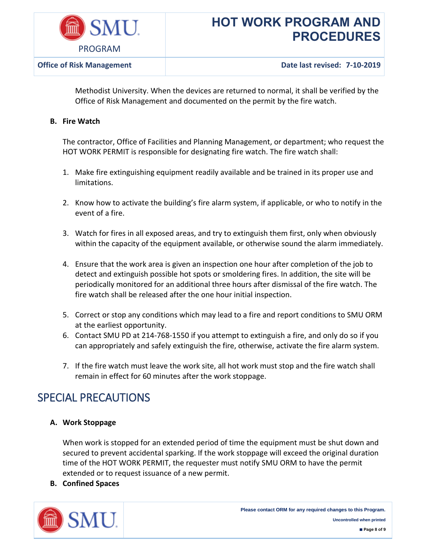

Methodist University. When the devices are returned to normal, it shall be verified by the Office of Risk Management and documented on the permit by the fire watch.

### **B. Fire Watch**

The contractor, Office of Facilities and Planning Management, or department; who request the HOT WORK PERMIT is responsible for designating fire watch. The fire watch shall:

- 1. Make fire extinguishing equipment readily available and be trained in its proper use and limitations.
- 2. Know how to activate the building's fire alarm system, if applicable, or who to notify in the event of a fire.
- 3. Watch for fires in all exposed areas, and try to extinguish them first, only when obviously within the capacity of the equipment available, or otherwise sound the alarm immediately.
- 4. Ensure that the work area is given an inspection one hour after completion of the job to detect and extinguish possible hot spots or smoldering fires. In addition, the site will be periodically monitored for an additional three hours after dismissal of the fire watch. The fire watch shall be released after the one hour initial inspection.
- 5. Correct or stop any conditions which may lead to a fire and report conditions to SMU ORM at the earliest opportunity.
- 6. Contact SMU PD at 214-768-1550 if you attempt to extinguish a fire, and only do so if you can appropriately and safely extinguish the fire, otherwise, activate the fire alarm system.
- 7. If the fire watch must leave the work site, all hot work must stop and the fire watch shall remain in effect for 60 minutes after the work stoppage.

### SPECIAL PRECAUTIONS

### **A. Work Stoppage**

When work is stopped for an extended period of time the equipment must be shut down and secured to prevent accidental sparking. If the work stoppage will exceed the original duration time of the HOT WORK PERMIT, the requester must notify SMU ORM to have the permit extended or to request issuance of a new permit.

**B. Confined Spaces**